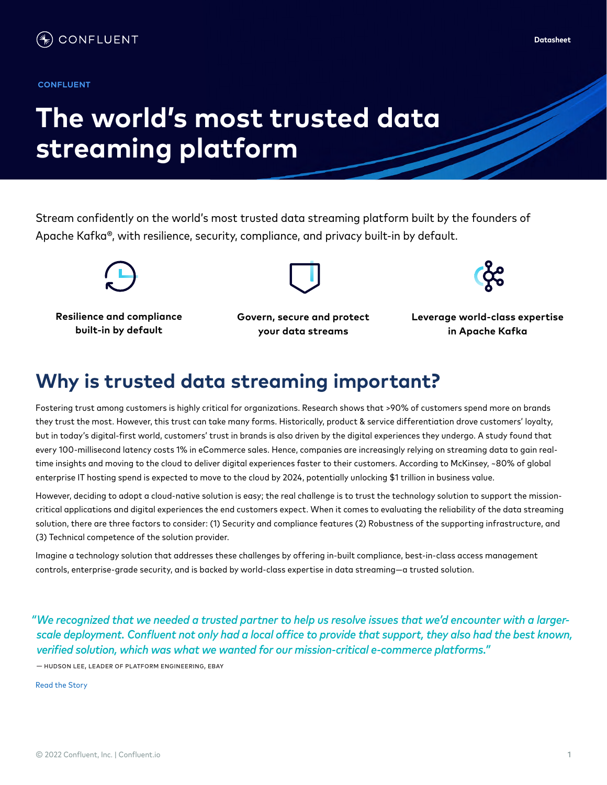#### **INDUSTRY TYPE OR UPPER**

# **The world's most trusted data streaming platform**

Stream confidently on the world's most trusted data streaming platform built by the founders of Apache Kafka®, with resilience, security, compliance, and privacy built-in by default.



**Resilience and compliance built-in by default**



**Govern, secure and protect your data streams**

**Leverage world-class expertise in Apache Kafka**

### **Why is trusted data streaming important?**

Fostering trust among customers is highly critical for organizations. Research shows that >90% of customers spend more on brands they trust the most. However, this trust can take many forms. Historically, product & service differentiation drove customers' loyalty, but in today's digital-first world, customers' trust in brands is also driven by the digital experiences they undergo. A study found that every 100-millisecond latency costs 1% in eCommerce sales. Hence, companies are increasingly relying on streaming data to gain realtime insights and moving to the cloud to deliver digital experiences faster to their customers. According to McKinsey, ~80% of global enterprise IT hosting spend is expected to move to the cloud by 2024, potentially unlocking \$1 trillion in business value.

However, deciding to adopt a cloud-native solution is easy; the real challenge is to trust the technology solution to support the missioncritical applications and digital experiences the end customers expect. When it comes to evaluating the reliability of the data streaming solution, there are three factors to consider: (1) Security and compliance features (2) Robustness of the supporting infrastructure, and (3) Technical competence of the solution provider.

Imagine a technology solution that addresses these challenges by offering in-built compliance, best-in-class access management controls, enterprise-grade security, and is backed by world-class expertise in data streaming—a trusted solution.

*"We recognized that we needed a trusted partner to help us resolve issues that we'd encounter with a largerscale deployment. Confluent not only had a local office to provide that support, they also had the best known, verified solution, which was what we wanted for our mission-critical e-commerce platforms."* 

— hudson lee, leader of platform engineering, ebay

R[ead the Story](https://assets.confluent.io/m/4a2d7e598076c7e6/original/20211109-CS-eBay_Korea.pdf?_ga=2.91713619.877871077.1643324914-228090946.1627916660&_gac=1.115959156.1642021906.CjwKCAiAlfqOBhAeEiwAYi43FxQ984HfeHmQ0oVH1X028BzM37IL5Wx2zqSSLnAzIW-s_yUjVBgAdRoCI7UQAvD_BwE)